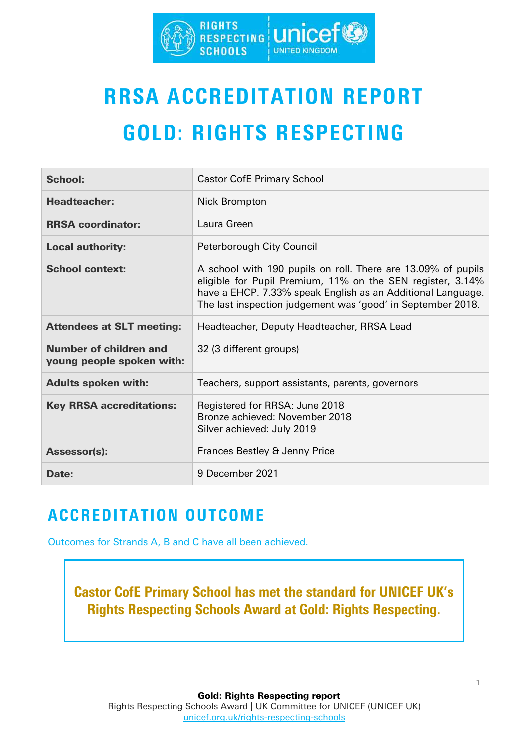

# RRSA ACCREDITATION REPORT GOLD: RIGHTS RESPECTING

| <b>School:</b>                                      | <b>Castor CofE Primary School</b>                                                                                                                                                                                                                        |
|-----------------------------------------------------|----------------------------------------------------------------------------------------------------------------------------------------------------------------------------------------------------------------------------------------------------------|
| <b>Headteacher:</b>                                 | <b>Nick Brompton</b>                                                                                                                                                                                                                                     |
| <b>RRSA coordinator:</b>                            | Laura Green                                                                                                                                                                                                                                              |
| <b>Local authority:</b>                             | Peterborough City Council                                                                                                                                                                                                                                |
| <b>School context:</b>                              | A school with 190 pupils on roll. There are 13.09% of pupils<br>eligible for Pupil Premium, 11% on the SEN register, 3.14%<br>have a EHCP. 7.33% speak English as an Additional Language.<br>The last inspection judgement was 'good' in September 2018. |
| <b>Attendees at SLT meeting:</b>                    | Headteacher, Deputy Headteacher, RRSA Lead                                                                                                                                                                                                               |
| Number of children and<br>young people spoken with: | 32 (3 different groups)                                                                                                                                                                                                                                  |
| <b>Adults spoken with:</b>                          | Teachers, support assistants, parents, governors                                                                                                                                                                                                         |
| <b>Key RRSA accreditations:</b>                     | Registered for RRSA: June 2018<br>Bronze achieved: November 2018<br>Silver achieved: July 2019                                                                                                                                                           |
| <b>Assessor(s):</b>                                 | Frances Bestley & Jenny Price                                                                                                                                                                                                                            |
| Date:                                               | 9 December 2021                                                                                                                                                                                                                                          |

## ACCREDITATION OUTCOME

Outcomes for Strands A, B and C have all been achieved.

Castor CofE Primary School has met the standard for UNICEF UK's Rights Respecting Schools Award at Gold: Rights Respecting.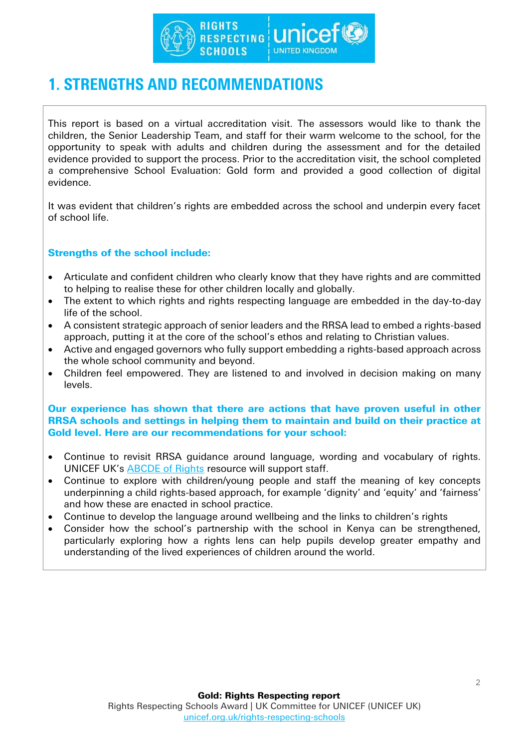

## 1. STRENGTHS AND RECOMMENDATIONS

This report is based on a virtual accreditation visit. The assessors would like to thank the children, the Senior Leadership Team, and staff for their warm welcome to the school, for the opportunity to speak with adults and children during the assessment and for the detailed evidence provided to support the process. Prior to the accreditation visit, the school completed a comprehensive School Evaluation: Gold form and provided a good collection of digital evidence.

It was evident that children's rights are embedded across the school and underpin every facet of school life.

### Strengths of the school include:

- Articulate and confident children who clearly know that they have rights and are committed to helping to realise these for other children locally and globally.
- The extent to which rights and rights respecting language are embedded in the day-to-day life of the school.
- A consistent strategic approach of senior leaders and the RRSA lead to embed a rights-based approach, putting it at the core of the school's ethos and relating to Christian values.
- Active and engaged governors who fully support embedding a rights-based approach across the whole school community and beyond.
- Children feel empowered. They are listened to and involved in decision making on many levels.

#### Our experience has shown that there are actions that have proven useful in other RRSA schools and settings in helping them to maintain and build on their practice at Gold level. Here are our recommendations for your school:

- Continue to revisit RRSA guidance around language, wording and vocabulary of rights. UNICEF UK's [ABCDE of Rights](https://www.unicef.org.uk/rights-respecting-schools/resources/teaching-resources/guidance-assemblies-lessons/abcde-of-rights/) resource will support staff.
- Continue to explore with children/young people and staff the meaning of key concepts underpinning a child rights-based approach, for example 'dignity' and 'equity' and 'fairness' and how these are enacted in school practice.
- Continue to develop the language around wellbeing and the links to children's rights
- Consider how the school's partnership with the school in Kenya can be strengthened, particularly exploring how a rights lens can help pupils develop greater empathy and understanding of the lived experiences of children around the world.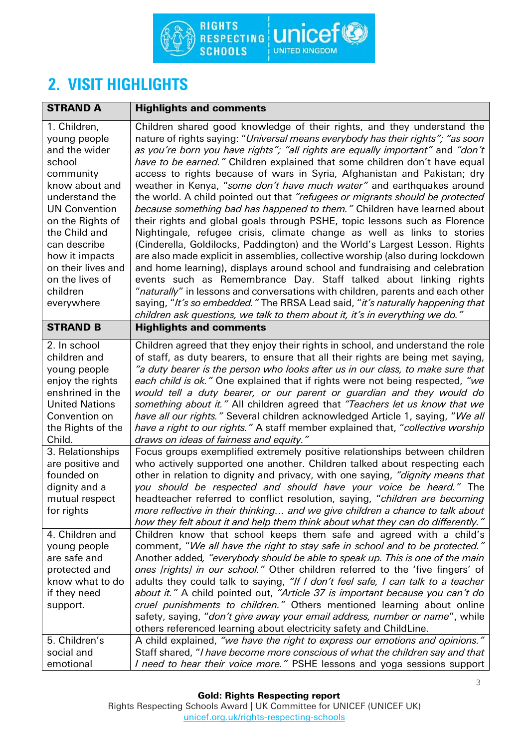

## 2. VISIT HIGHLIGHTS

| <b>STRAND A</b>                                                                                                                                                                                                                                                            | <b>Highlights and comments</b>                                                                                                                                                                                                                                                                                                                                                                                                                                                                                                                                                                                                                                                                                                                                                                                                                                                                                                                                                                                                                                                                                                                                                                                                                                                                                                                                                |
|----------------------------------------------------------------------------------------------------------------------------------------------------------------------------------------------------------------------------------------------------------------------------|-------------------------------------------------------------------------------------------------------------------------------------------------------------------------------------------------------------------------------------------------------------------------------------------------------------------------------------------------------------------------------------------------------------------------------------------------------------------------------------------------------------------------------------------------------------------------------------------------------------------------------------------------------------------------------------------------------------------------------------------------------------------------------------------------------------------------------------------------------------------------------------------------------------------------------------------------------------------------------------------------------------------------------------------------------------------------------------------------------------------------------------------------------------------------------------------------------------------------------------------------------------------------------------------------------------------------------------------------------------------------------|
| 1. Children,<br>young people<br>and the wider<br>school<br>community<br>know about and<br>understand the<br><b>UN Convention</b><br>on the Rights of<br>the Child and<br>can describe<br>how it impacts<br>on their lives and<br>on the lives of<br>children<br>everywhere | Children shared good knowledge of their rights, and they understand the<br>nature of rights saying: "Universal means everybody has their rights"; "as soon<br>as you're born you have rights"; "all rights are equally important" and "don't<br>have to be earned." Children explained that some children don't have equal<br>access to rights because of wars in Syria, Afghanistan and Pakistan; dry<br>weather in Kenya, "some don't have much water" and earthquakes around<br>the world. A child pointed out that "refugees or migrants should be protected<br>because something bad has happened to them." Children have learned about<br>their rights and global goals through PSHE, topic lessons such as Florence<br>Nightingale, refugee crisis, climate change as well as links to stories<br>(Cinderella, Goldilocks, Paddington) and the World's Largest Lesson. Rights<br>are also made explicit in assemblies, collective worship (also during lockdown<br>and home learning), displays around school and fundraising and celebration<br>events such as Remembrance Day. Staff talked about linking rights<br>"naturally" in lessons and conversations with children, parents and each other<br>saying, "It's so embedded." The RRSA Lead said, "it's naturally happening that<br>children ask questions, we talk to them about it, it's in everything we do." |
| <b>STRAND B</b>                                                                                                                                                                                                                                                            | <b>Highlights and comments</b>                                                                                                                                                                                                                                                                                                                                                                                                                                                                                                                                                                                                                                                                                                                                                                                                                                                                                                                                                                                                                                                                                                                                                                                                                                                                                                                                                |
| 2. In school<br>children and<br>young people<br>enjoy the rights<br>enshrined in the<br><b>United Nations</b><br>Convention on<br>the Rights of the<br>Child.                                                                                                              | Children agreed that they enjoy their rights in school, and understand the role<br>of staff, as duty bearers, to ensure that all their rights are being met saying,<br>"a duty bearer is the person who looks after us in our class, to make sure that<br>each child is ok." One explained that if rights were not being respected, "we<br>would tell a duty bearer, or our parent or guardian and they would do<br>something about it." All children agreed that "Teachers let us know that we<br>have all our rights." Several children acknowledged Article 1, saying, "We all<br>have a right to our rights." A staff member explained that, "collective worship<br>draws on ideas of fairness and equity."                                                                                                                                                                                                                                                                                                                                                                                                                                                                                                                                                                                                                                                               |
| 3. Relationships<br>are positive and<br>founded on<br>dignity and a<br>mutual respect<br>for rights                                                                                                                                                                        | Focus groups exemplified extremely positive relationships between children<br>who actively supported one another. Children talked about respecting each<br>other in relation to dignity and privacy, with one saying, "dignity means that<br>you should be respected and should have your voice be heard." The<br>headteacher referred to conflict resolution, saying, "children are becoming<br>more reflective in their thinking and we give children a chance to talk about<br>how they felt about it and help them think about what they can do differently."                                                                                                                                                                                                                                                                                                                                                                                                                                                                                                                                                                                                                                                                                                                                                                                                             |
| 4. Children and<br>young people<br>are safe and<br>protected and<br>know what to do<br>if they need<br>support.                                                                                                                                                            | Children know that school keeps them safe and agreed with a child's<br>comment, "We all have the right to stay safe in school and to be protected."<br>Another added, "everybody should be able to speak up. This is one of the main<br>ones [rights] in our school." Other children referred to the 'five fingers' of<br>adults they could talk to saying, "If I don't feel safe, I can talk to a teacher<br>about it." A child pointed out, "Article 37 is important because you can't do<br>cruel punishments to children." Others mentioned learning about online<br>safety, saying, "don't give away your email address, number or name", while<br>others referenced learning about electricity safety and ChildLine.                                                                                                                                                                                                                                                                                                                                                                                                                                                                                                                                                                                                                                                    |
| 5. Children's<br>social and<br>emotional                                                                                                                                                                                                                                   | A child explained, "we have the right to express our emotions and opinions."<br>Staff shared, "I have become more conscious of what the children say and that<br>I need to hear their voice more." PSHE lessons and yoga sessions support                                                                                                                                                                                                                                                                                                                                                                                                                                                                                                                                                                                                                                                                                                                                                                                                                                                                                                                                                                                                                                                                                                                                     |